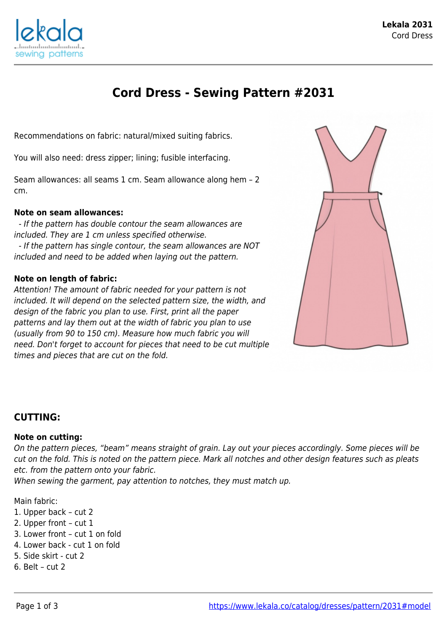

# **Cord Dress - Sewing Pattern #2031**

Recommendations on fabric: natural/mixed suiting fabrics.

You will also need: dress zipper; lining; fusible interfacing.

Seam allowances: all seams 1 cm. Seam allowance along hem – 2 cm.

#### **Note on seam allowances:**

 - If the pattern has double contour the seam allowances are included. They are 1 cm unless specified otherwise. - If the pattern has single contour, the seam allowances are NOT included and need to be added when laying out the pattern.

#### **Note on length of fabric:**

Attention! The amount of fabric needed for your pattern is not included. It will depend on the selected pattern size, the width, and design of the fabric you plan to use. First, print all the paper patterns and lay them out at the width of fabric you plan to use (usually from 90 to 150 cm). Measure how much fabric you will need. Don't forget to account for pieces that need to be cut multiple times and pieces that are cut on the fold.



### **CUTTING:**

#### **Note on cutting:**

On the pattern pieces, "beam" means straight of grain. Lay out your pieces accordingly. Some pieces will be cut on the fold. This is noted on the pattern piece. Mark all notches and other design features such as pleats etc. from the pattern onto your fabric.

When sewing the garment, pay attention to notches, they must match up.

#### Main fabric:

- 1. Upper back cut 2
- 2. Upper front cut 1
- 3. Lower front cut 1 on fold
- 4. Lower back cut 1 on fold
- 5. Side skirt cut 2
- 6. Belt cut 2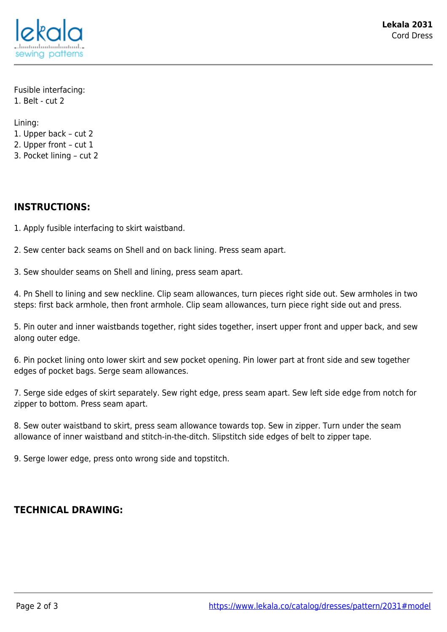

Fusible interfacing: 1. Belt - cut 2

Lining:

- 1. Upper back cut 2
- 2. Upper front cut 1
- 3. Pocket lining cut 2

## **INSTRUCTIONS:**

1. Apply fusible interfacing to skirt waistband.

2. Sew center back seams on Shell and on back lining. Press seam apart.

3. Sew shoulder seams on Shell and lining, press seam apart.

4. Pn Shell to lining and sew neckline. Clip seam allowances, turn pieces right side out. Sew armholes in two steps: first back armhole, then front armhole. Clip seam allowances, turn piece right side out and press.

5. Pin outer and inner waistbands together, right sides together, insert upper front and upper back, and sew along outer edge.

6. Pin pocket lining onto lower skirt and sew pocket opening. Pin lower part at front side and sew together edges of pocket bags. Serge seam allowances.

7. Serge side edges of skirt separately. Sew right edge, press seam apart. Sew left side edge from notch for zipper to bottom. Press seam apart.

8. Sew outer waistband to skirt, press seam allowance towards top. Sew in zipper. Turn under the seam allowance of inner waistband and stitch-in-the-ditch. Slipstitch side edges of belt to zipper tape.

9. Serge lower edge, press onto wrong side and topstitch.

## **TECHNICAL DRAWING:**